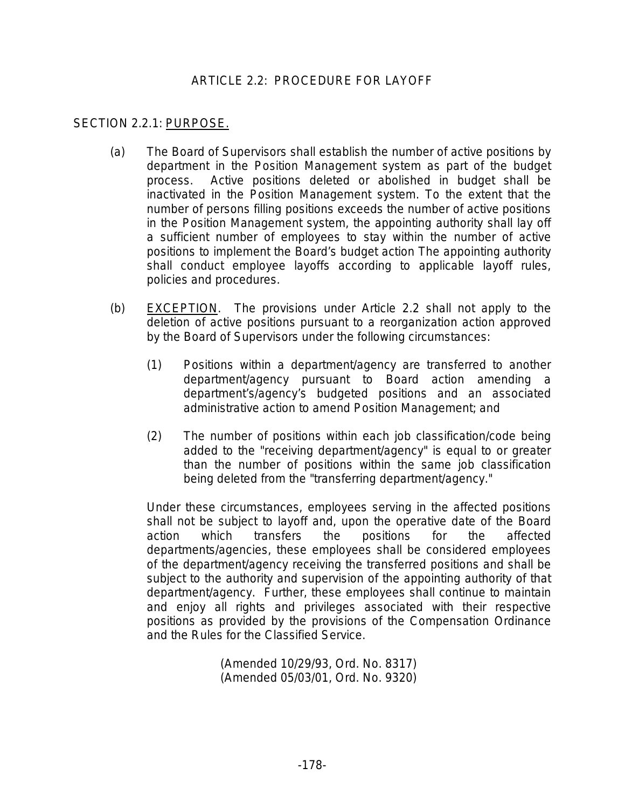## ARTICLE 2.2: PROCEDURE FOR LAYOFF

## SECTION 2.2.1: PURPOSE.

- (a) The Board of Supervisors shall establish the number of active positions by department in the Position Management system as part of the budget process. Active positions deleted or abolished in budget shall be inactivated in the Position Management system. To the extent that the number of persons filling positions exceeds the number of active positions in the Position Management system, the appointing authority shall lay off a sufficient number of employees to stay within the number of active positions to implement the Board's budget action The appointing authority shall conduct employee layoffs according to applicable layoff rules, policies and procedures.
- (b) EXCEPTION. The provisions under Article 2.2 shall not apply to the deletion of active positions pursuant to a reorganization action approved by the Board of Supervisors under the following circumstances:
	- (1) Positions within a department/agency are transferred to another department/agency pursuant to Board action amending a department's/agency's budgeted positions and an associated administrative action to amend Position Management; and
	- (2) The number of positions within each job classification/code being added to the "receiving department/agency" is equal to or greater than the number of positions within the same job classification being deleted from the "transferring department/agency."

Under these circumstances, employees serving in the affected positions shall not be subject to layoff and, upon the operative date of the Board action which transfers the positions for the affected departments/agencies, these employees shall be considered employees of the department/agency receiving the transferred positions and shall be subject to the authority and supervision of the appointing authority of that department/agency. Further, these employees shall continue to maintain and enjoy all rights and privileges associated with their respective positions as provided by the provisions of the Compensation Ordinance and the Rules for the Classified Service.

> (Amended 10/29/93, Ord. No. 8317) (Amended 05/03/01, Ord. No. 9320)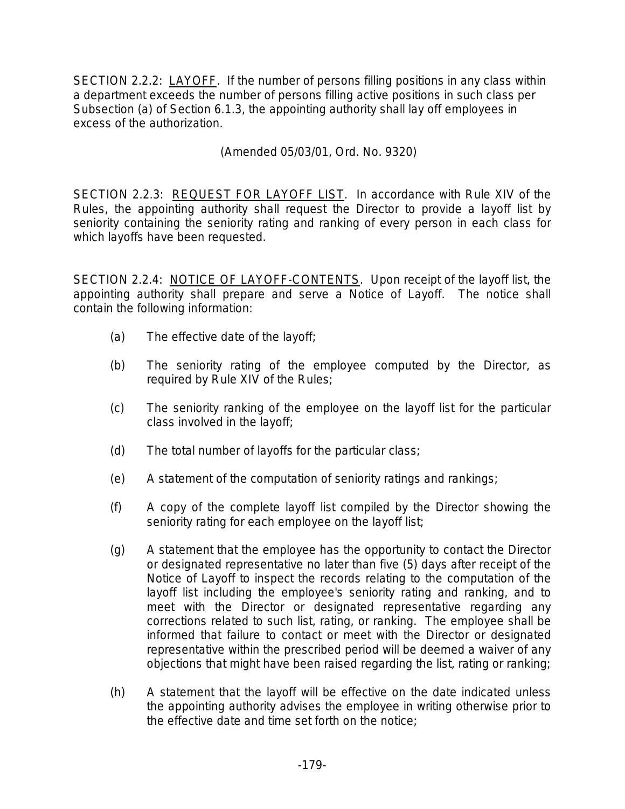SECTION 2.2.2: LAYOFF. If the number of persons filling positions in any class within a department exceeds the number of persons filling active positions in such class per Subsection (a) of Section 6.1.3, the appointing authority shall lay off employees in excess of the authorization.

(Amended 05/03/01, Ord. No. 9320)

SECTION 2.2.3: REQUEST FOR LAYOFF LIST. In accordance with Rule XIV of the Rules, the appointing authority shall request the Director to provide a layoff list by seniority containing the seniority rating and ranking of every person in each class for which layoffs have been requested.

SECTION 2.2.4: NOTICE OF LAYOFF-CONTENTS. Upon receipt of the layoff list, the appointing authority shall prepare and serve a Notice of Layoff. The notice shall contain the following information:

- (a) The effective date of the layoff;
- (b) The seniority rating of the employee computed by the Director, as required by Rule XIV of the Rules;
- (c) The seniority ranking of the employee on the layoff list for the particular class involved in the layoff;
- (d) The total number of layoffs for the particular class;
- (e) A statement of the computation of seniority ratings and rankings;
- (f) A copy of the complete layoff list compiled by the Director showing the seniority rating for each employee on the layoff list;
- (g) A statement that the employee has the opportunity to contact the Director or designated representative no later than five (5) days after receipt of the Notice of Layoff to inspect the records relating to the computation of the layoff list including the employee's seniority rating and ranking, and to meet with the Director or designated representative regarding any corrections related to such list, rating, or ranking. The employee shall be informed that failure to contact or meet with the Director or designated representative within the prescribed period will be deemed a waiver of any objections that might have been raised regarding the list, rating or ranking;
- (h) A statement that the layoff will be effective on the date indicated unless the appointing authority advises the employee in writing otherwise prior to the effective date and time set forth on the notice;